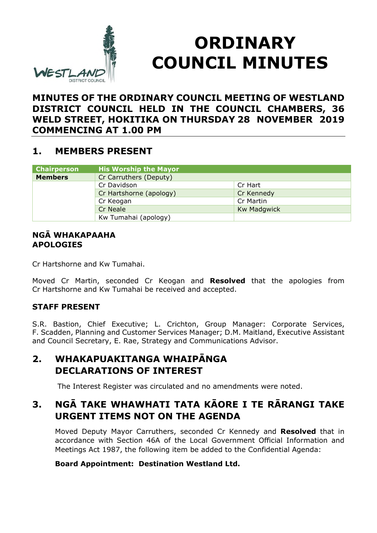

# **ORDINARY COUNCIL MINUTES**

## **MINUTES OF THE ORDINARY COUNCIL MEETING OF WESTLAND DISTRICT COUNCIL HELD IN THE COUNCIL CHAMBERS, 36 WELD STREET, HOKITIKA ON THURSDAY 28 NOVEMBER 2019 COMMENCING AT 1.00 PM**

## **1. MEMBERS PRESENT**

| <b>Chairperson</b> | <b>His Worship the Mayor</b> |                    |
|--------------------|------------------------------|--------------------|
| <b>Members</b>     | Cr Carruthers (Deputy)       |                    |
|                    | Cr Davidson                  | Cr Hart            |
|                    | Cr Hartshorne (apology)      | Cr Kennedy         |
|                    | Cr Keogan                    | Cr Martin          |
|                    | <b>Cr Neale</b>              | <b>Kw Madgwick</b> |
|                    | Kw Tumahai (apology)         |                    |

#### **NGĀ WHAKAPAAHA APOLOGIES**

Cr Hartshorne and Kw Tumahai.

Moved Cr Martin, seconded Cr Keogan and **Resolved** that the apologies from Cr Hartshorne and Kw Tumahai be received and accepted.

### **STAFF PRESENT**

S.R. Bastion, Chief Executive; L. Crichton, Group Manager: Corporate Services, F. Scadden, Planning and Customer Services Manager; D.M. Maitland, Executive Assistant and Council Secretary, E. Rae, Strategy and Communications Advisor.

## **2. WHAKAPUAKITANGA WHAIPĀNGA DECLARATIONS OF INTEREST**

The Interest Register was circulated and no amendments were noted.

# **3. NGĀ TAKE WHAWHATI TATA KĀORE I TE RĀRANGI TAKE URGENT ITEMS NOT ON THE AGENDA**

Moved Deputy Mayor Carruthers, seconded Cr Kennedy and **Resolved** that in accordance with Section 46A of the Local Government Official Information and Meetings Act 1987, the following item be added to the Confidential Agenda:

#### **Board Appointment: Destination Westland Ltd.**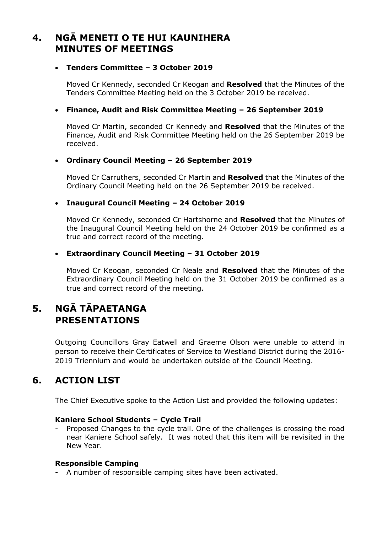## **4. NGĀ MENETI O TE HUI KAUNIHERA MINUTES OF MEETINGS**

#### **Tenders Committee – 3 October 2019**

Moved Cr Kennedy, seconded Cr Keogan and **Resolved** that the Minutes of the Tenders Committee Meeting held on the 3 October 2019 be received.

#### **Finance, Audit and Risk Committee Meeting – 26 September 2019**

Moved Cr Martin, seconded Cr Kennedy and **Resolved** that the Minutes of the Finance, Audit and Risk Committee Meeting held on the 26 September 2019 be received.

#### **Ordinary Council Meeting – 26 September 2019**

Moved Cr Carruthers, seconded Cr Martin and **Resolved** that the Minutes of the Ordinary Council Meeting held on the 26 September 2019 be received.

#### **Inaugural Council Meeting – 24 October 2019**

Moved Cr Kennedy, seconded Cr Hartshorne and **Resolved** that the Minutes of the Inaugural Council Meeting held on the 24 October 2019 be confirmed as a true and correct record of the meeting.

#### **Extraordinary Council Meeting – 31 October 2019**

Moved Cr Keogan, seconded Cr Neale and **Resolved** that the Minutes of the Extraordinary Council Meeting held on the 31 October 2019 be confirmed as a true and correct record of the meeting.

# **5. NGĀ TĀPAETANGA PRESENTATIONS**

Outgoing Councillors Gray Eatwell and Graeme Olson were unable to attend in person to receive their Certificates of Service to Westland District during the 2016- 2019 Triennium and would be undertaken outside of the Council Meeting.

# **6. ACTION LIST**

The Chief Executive spoke to the Action List and provided the following updates:

#### **Kaniere School Students – Cycle Trail**

Proposed Changes to the cycle trail. One of the challenges is crossing the road near Kaniere School safely. It was noted that this item will be revisited in the New Year.

#### **Responsible Camping**

- A number of responsible camping sites have been activated.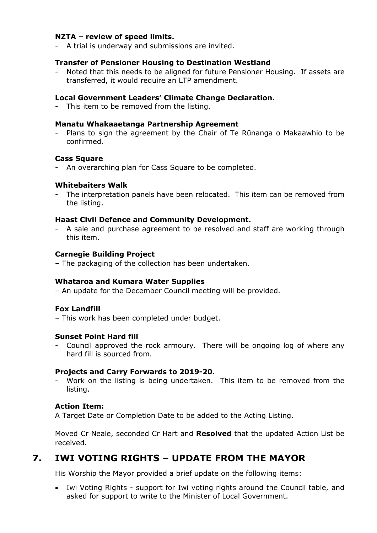#### **NZTA – review of speed limits.**

- A trial is underway and submissions are invited.

#### **Transfer of Pensioner Housing to Destination Westland**

Noted that this needs to be aligned for future Pensioner Housing. If assets are transferred, it would require an LTP amendment.

#### **Local Government Leaders' Climate Change Declaration.**

- This item to be removed from the listing.

#### **Manatu Whakaaetanga Partnership Agreement**

- Plans to sign the agreement by the Chair of Te Rūnanga o Makaawhio to be confirmed.

#### **Cass Square**

- An overarching plan for Cass Square to be completed.

#### **Whitebaiters Walk**

The interpretation panels have been relocated. This item can be removed from the listing.

#### **Haast Civil Defence and Community Development.**

- A sale and purchase agreement to be resolved and staff are working through this item.

#### **Carnegie Building Project**

– The packaging of the collection has been undertaken.

#### **Whataroa and Kumara Water Supplies**

– An update for the December Council meeting will be provided.

#### **Fox Landfill**

– This work has been completed under budget.

#### **Sunset Point Hard fill**

- Council approved the rock armoury. There will be ongoing log of where any hard fill is sourced from.

#### **Projects and Carry Forwards to 2019-20.**

Work on the listing is being undertaken. This item to be removed from the listing.

#### **Action Item:**

A Target Date or Completion Date to be added to the Acting Listing.

Moved Cr Neale, seconded Cr Hart and **Resolved** that the updated Action List be received.

## **7. IWI VOTING RIGHTS – UPDATE FROM THE MAYOR**

His Worship the Mayor provided a brief update on the following items:

 Iwi Voting Rights - support for Iwi voting rights around the Council table, and asked for support to write to the Minister of Local Government.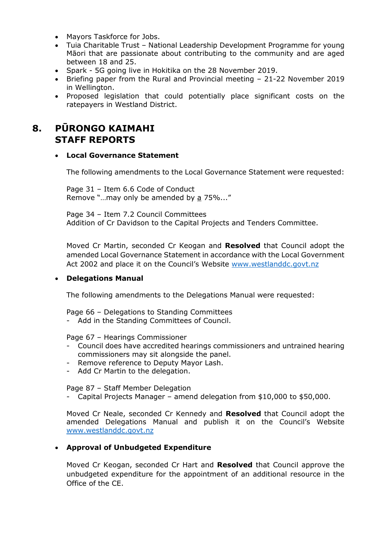- Mayors Taskforce for Jobs.
- Tuia Charitable Trust National Leadership Development Programme for young Māori that are passionate about contributing to the community and are aged between 18 and 25.
- Spark 5G going live in Hokitika on the 28 November 2019.
- Briefing paper from the Rural and Provincial meeting 21-22 November 2019 in Wellington.
- Proposed legislation that could potentially place significant costs on the ratepayers in Westland District.

# **8. PŪRONGO KAIMAHI STAFF REPORTS**

#### **Local Governance Statement**

The following amendments to the Local Governance Statement were requested:

Page 31 – Item 6.6 Code of Conduct Remove "…may only be amended by a 75%..."

Page 34 – Item 7.2 Council Committees Addition of Cr Davidson to the Capital Projects and Tenders Committee.

Moved Cr Martin, seconded Cr Keogan and **Resolved** that Council adopt the amended Local Governance Statement in accordance with the Local Government Act 2002 and place it on the Council's Website www.westlanddc.govt.nz

#### **Delegations Manual**

The following amendments to the Delegations Manual were requested:

Page 66 – Delegations to Standing Committees

- Add in the Standing Committees of Council.

Page 67 – Hearings Commissioner

- Council does have accredited hearings commissioners and untrained hearing commissioners may sit alongside the panel.
- Remove reference to Deputy Mayor Lash.
- Add Cr Martin to the delegation.

Page 87 – Staff Member Delegation

- Capital Projects Manager – amend delegation from \$10,000 to \$50,000.

Moved Cr Neale, seconded Cr Kennedy and **Resolved** that Council adopt the amended Delegations Manual and publish it on the Council's Website www.westlanddc.govt.nz

#### **Approval of Unbudgeted Expenditure**

Moved Cr Keogan, seconded Cr Hart and **Resolved** that Council approve the unbudgeted expenditure for the appointment of an additional resource in the Office of the CE.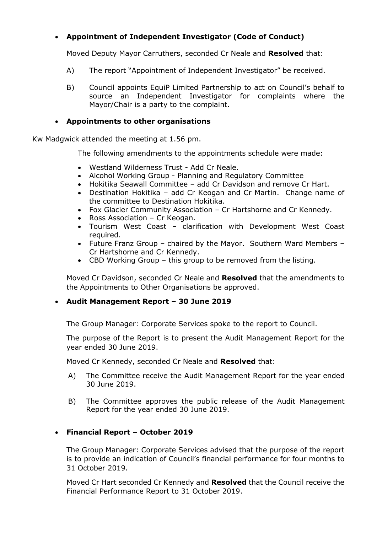#### **Appointment of Independent Investigator (Code of Conduct)**

Moved Deputy Mayor Carruthers, seconded Cr Neale and **Resolved** that:

- A) The report "Appointment of Independent Investigator" be received.
- B) Council appoints EquiP Limited Partnership to act on Council's behalf to source an Independent Investigator for complaints where the Mayor/Chair is a party to the complaint.

#### **Appointments to other organisations**

Kw Madgwick attended the meeting at 1.56 pm.

The following amendments to the appointments schedule were made:

- Westland Wilderness Trust Add Cr Neale.
- Alcohol Working Group Planning and Regulatory Committee
- Hokitika Seawall Committee add Cr Davidson and remove Cr Hart.
- Destination Hokitika add Cr Keogan and Cr Martin. Change name of the committee to Destination Hokitika.
- Fox Glacier Community Association Cr Hartshorne and Cr Kennedy.
- Ross Association Cr Keogan.
- Tourism West Coast clarification with Development West Coast required.
- Future Franz Group chaired by the Mayor. Southern Ward Members Cr Hartshorne and Cr Kennedy.
- CBD Working Group this group to be removed from the listing.

Moved Cr Davidson, seconded Cr Neale and **Resolved** that the amendments to the Appointments to Other Organisations be approved.

#### **Audit Management Report – 30 June 2019**

The Group Manager: Corporate Services spoke to the report to Council.

The purpose of the Report is to present the Audit Management Report for the year ended 30 June 2019.

Moved Cr Kennedy, seconded Cr Neale and **Resolved** that:

- A) The Committee receive the Audit Management Report for the year ended 30 June 2019.
- B) The Committee approves the public release of the Audit Management Report for the year ended 30 June 2019.

#### **Financial Report – October 2019**

The Group Manager: Corporate Services advised that the purpose of the report is to provide an indication of Council's financial performance for four months to 31 October 2019.

Moved Cr Hart seconded Cr Kennedy and **Resolved** that the Council receive the Financial Performance Report to 31 October 2019.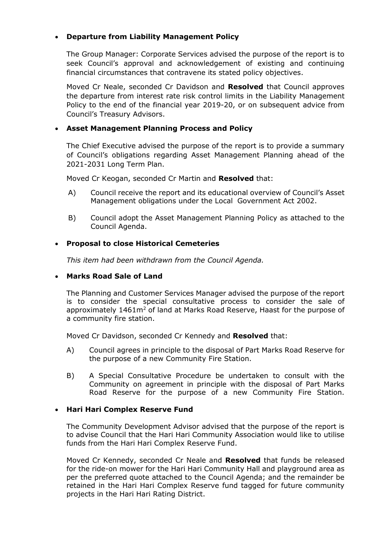#### **Departure from Liability Management Policy**

The Group Manager: Corporate Services advised the purpose of the report is to seek Council's approval and acknowledgement of existing and continuing financial circumstances that contravene its stated policy objectives.

Moved Cr Neale, seconded Cr Davidson and **Resolved** that Council approves the departure from interest rate risk control limits in the Liability Management Policy to the end of the financial year 2019-20, or on subsequent advice from Council's Treasury Advisors.

#### **Asset Management Planning Process and Policy**

The Chief Executive advised the purpose of the report is to provide a summary of Council's obligations regarding Asset Management Planning ahead of the 2021-2031 Long Term Plan.

Moved Cr Keogan, seconded Cr Martin and **Resolved** that:

- A) Council receive the report and its educational overview of Council's Asset Management obligations under the Local Government Act 2002.
- B) Council adopt the Asset Management Planning Policy as attached to the Council Agenda.

#### **Proposal to close Historical Cemeteries**

*This item had been withdrawn from the Council Agenda.*

#### **Marks Road Sale of Land**

The Planning and Customer Services Manager advised the purpose of the report is to consider the special consultative process to consider the sale of approximately 1461m<sup>2</sup> of land at Marks Road Reserve, Haast for the purpose of a community fire station.

Moved Cr Davidson, seconded Cr Kennedy and **Resolved** that:

- A) Council agrees in principle to the disposal of Part Marks Road Reserve for the purpose of a new Community Fire Station.
- B) A Special Consultative Procedure be undertaken to consult with the Community on agreement in principle with the disposal of Part Marks Road Reserve for the purpose of a new Community Fire Station.

#### **Hari Hari Complex Reserve Fund**

The Community Development Advisor advised that the purpose of the report is to advise Council that the Hari Hari Community Association would like to utilise funds from the Hari Hari Complex Reserve Fund.

Moved Cr Kennedy, seconded Cr Neale and **Resolved** that funds be released for the ride-on mower for the Hari Hari Community Hall and playground area as per the preferred quote attached to the Council Agenda; and the remainder be retained in the Hari Hari Complex Reserve fund tagged for future community projects in the Hari Hari Rating District.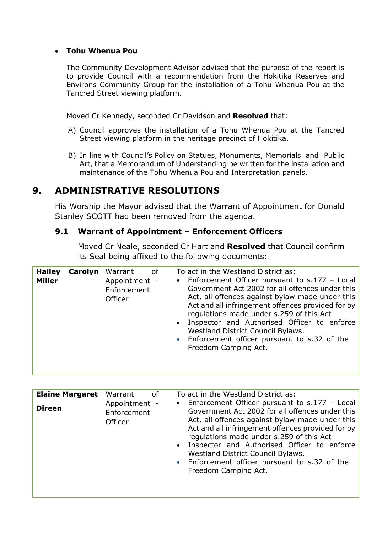#### **Tohu Whenua Pou**

The Community Development Advisor advised that the purpose of the report is to provide Council with a recommendation from the Hokitika Reserves and Environs Community Group for the installation of a Tohu Whenua Pou at the Tancred Street viewing platform.

Moved Cr Kennedy, seconded Cr Davidson and **Resolved** that:

- A) Council approves the installation of a Tohu Whenua Pou at the Tancred Street viewing platform in the heritage precinct of Hokitika.
- B) In line with Council's Policy on Statues, Monuments, Memorials and Public Art, that a Memorandum of Understanding be written for the installation and maintenance of the Tohu Whenua Pou and Interpretation panels.

## **9. ADMINISTRATIVE RESOLUTIONS**

His Worship the Mayor advised that the Warrant of Appointment for Donald Stanley SCOTT had been removed from the agenda.

#### **9.1 Warrant of Appointment – Enforcement Officers**

Moved Cr Neale, seconded Cr Hart and **Resolved** that Council confirm its Seal being affixed to the following documents:

| <b>Elaine Margaret</b><br><b>Direen</b> | Warrant<br>of<br>Appointment -<br>Enforcement<br>Officer | To act in the Westland District as:<br>• Enforcement Officer pursuant to s.177 - Local<br>Government Act 2002 for all offences under this<br>Act, all offences against bylaw made under this<br>Act and all infringement offences provided for by<br>regulations made under s.259 of this Act<br>• Inspector and Authorised Officer to enforce<br>Westland District Council Bylaws. |
|-----------------------------------------|----------------------------------------------------------|-------------------------------------------------------------------------------------------------------------------------------------------------------------------------------------------------------------------------------------------------------------------------------------------------------------------------------------------------------------------------------------|
|                                         |                                                          | • Enforcement officer pursuant to s.32 of the<br>Freedom Camping Act.                                                                                                                                                                                                                                                                                                               |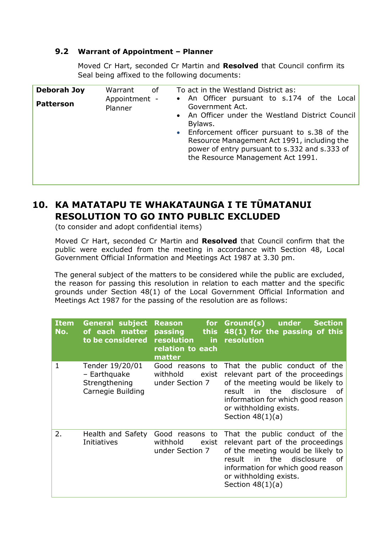#### **9.2 Warrant of Appointment – Planner**

Moved Cr Hart, seconded Cr Martin and **Resolved** that Council confirm its Seal being affixed to the following documents:

| <b>Deborah Joy</b> | Warrant<br>0f<br>Appointment - | To act in the Westland District as:<br>• An Officer pursuant to s.174 of the Local                                                                                                                                                                                   |
|--------------------|--------------------------------|----------------------------------------------------------------------------------------------------------------------------------------------------------------------------------------------------------------------------------------------------------------------|
| <b>Patterson</b>   | Planner                        | Government Act.<br>• An Officer under the Westland District Council<br>Bylaws.<br>• Enforcement officer pursuant to s.38 of the<br>Resource Management Act 1991, including the<br>power of entry pursuant to s.332 and s.333 of<br>the Resource Management Act 1991. |

# **10. KA MATATAPU TE WHAKATAUNGA I TE TŪMATANUI RESOLUTION TO GO INTO PUBLIC EXCLUDED**

(to consider and adopt confidential items)

Moved Cr Hart, seconded Cr Martin and **Resolved** that Council confirm that the public were excluded from the meeting in accordance with Section 48, Local Government Official Information and Meetings Act 1987 at 3.30 pm.

The general subject of the matters to be considered while the public are excluded, the reason for passing this resolution in relation to each matter and the specific grounds under Section 48(1) of the Local Government Official Information and Meetings Act 1987 for the passing of the resolution are as follows:

| <b>Item</b><br>No. | <b>General subject</b><br>of each matter<br>to be considered          | <b>Reason</b><br>this <b>the state</b><br>passing<br>resolution<br>in.<br>relation to each<br>matter | for Ground(s)<br>under<br><b>Section</b><br>48(1) for the passing of this<br>resolution                                                                                                                                                |
|--------------------|-----------------------------------------------------------------------|------------------------------------------------------------------------------------------------------|----------------------------------------------------------------------------------------------------------------------------------------------------------------------------------------------------------------------------------------|
| 1                  | Tender 19/20/01<br>- Earthquake<br>Strengthening<br>Carnegie Building | Good reasons to<br>withhold<br>exist<br>under Section 7                                              | That the public conduct of the<br>relevant part of the proceedings<br>of the meeting would be likely to<br>in the disclosure<br>result<br>0f<br>information for which good reason<br>or withholding exists.<br>Section $48(1)(a)$      |
| 2.                 | Health and Safety<br>Initiatives                                      | Good reasons to<br>withhold<br>exist<br>under Section 7                                              | That the public conduct of the<br>relevant part of the proceedings<br>of the meeting would be likely to<br>the disclosure<br>result<br>in<br>- of<br>information for which good reason<br>or withholding exists.<br>Section $48(1)(a)$ |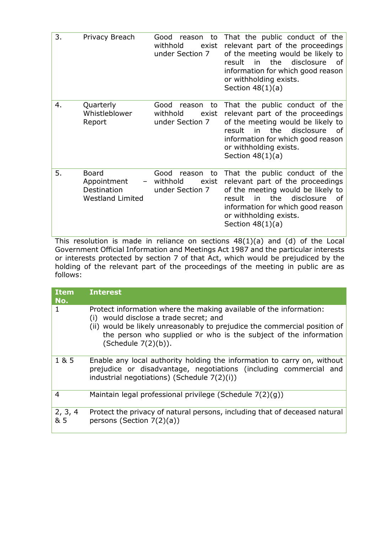| 3. | Privacy Breach                                                        | Good<br>reason<br>to<br>withhold<br>exist<br>under Section 7 | That the public conduct of the<br>relevant part of the proceedings<br>of the meeting would be likely to<br>the<br>disclosure<br>result<br>in<br>of<br>information for which good reason<br>or withholding exists.<br>Section $48(1)(a)$ |
|----|-----------------------------------------------------------------------|--------------------------------------------------------------|-----------------------------------------------------------------------------------------------------------------------------------------------------------------------------------------------------------------------------------------|
| 4. | Quarterly<br>Whistleblower<br>Report                                  | Good<br>reason<br>to<br>withhold<br>exist<br>under Section 7 | That the public conduct of the<br>relevant part of the proceedings<br>of the meeting would be likely to<br>disclosure<br>result<br>in<br>the<br>of<br>information for which good reason<br>or withholding exists.<br>Section $48(1)(a)$ |
| 5. | <b>Board</b><br>Appointment<br>Destination<br><b>Westland Limited</b> | Good<br>reason<br>to<br>withhold<br>exist<br>under Section 7 | That the public conduct of the<br>relevant part of the proceedings<br>of the meeting would be likely to<br>in<br>the<br>disclosure<br>result<br>of<br>information for which good reason<br>or withholding exists.<br>Section $48(1)(a)$ |

This resolution is made in reliance on sections 48(1)(a) and (d) of the Local Government Official Information and Meetings Act 1987 and the particular interests or interests protected by section 7 of that Act, which would be prejudiced by the holding of the relevant part of the proceedings of the meeting in public are as follows:

| <b>Item</b><br>No. | <b>Interest</b>                                                                                                                                                                                                                                                                         |
|--------------------|-----------------------------------------------------------------------------------------------------------------------------------------------------------------------------------------------------------------------------------------------------------------------------------------|
| 1                  | Protect information where the making available of the information:<br>(i) would disclose a trade secret; and<br>(ii) would be likely unreasonably to prejudice the commercial position of<br>the person who supplied or who is the subject of the information<br>(Schedule $7(2)(b)$ ). |
| 1 & 5              | Enable any local authority holding the information to carry on, without<br>prejudice or disadvantage, negotiations (including commercial and<br>industrial negotiations) (Schedule 7(2)(i))                                                                                             |
| 4                  | Maintain legal professional privilege (Schedule 7(2)(g))                                                                                                                                                                                                                                |
| 2, 3, 4<br>& 5     | Protect the privacy of natural persons, including that of deceased natural<br>persons (Section $7(2)(a)$ )                                                                                                                                                                              |